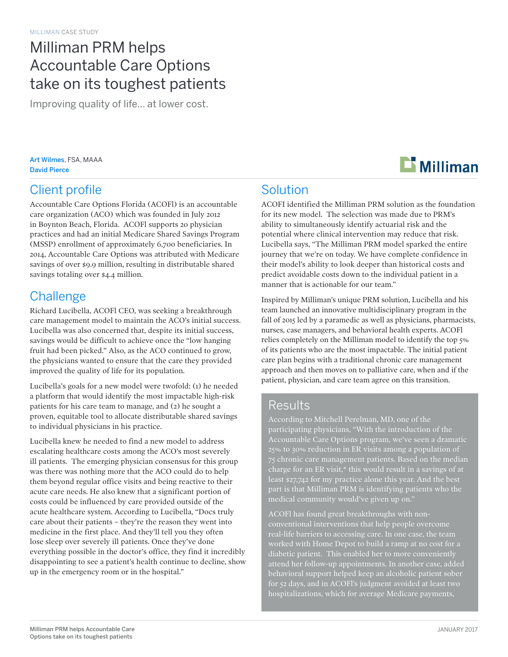## Milliman PRM helps Accountable Care Options take on its toughest patients

Improving quality of life… at lower cost.

Art Wilmes, FSA, MAAA David Pierce

### Client profile

Accountable Care Options Florida (ACOFl) is an accountable care organization (ACO) which was founded in July 2012 in Boynton Beach, Florida. ACOFl supports 20 physician practices and had an initial Medicare Shared Savings Program (MSSP) enrollment of approximately 6,700 beneficiaries. In 2014, Accountable Care Options was attributed with Medicare savings of over \$9.9 million, resulting in distributable shared savings totaling over \$4.4 million.

#### **Challenge**

Richard Lucibella, ACOFl CEO, was seeking a breakthrough care management model to maintain the ACO's initial success. Lucibella was also concerned that, despite its initial success, savings would be difficult to achieve once the "low hanging fruit had been picked." Also, as the ACO continued to grow, the physicians wanted to ensure that the care they provided improved the quality of life for its population.

Lucibella's goals for a new model were twofold: (1) he needed a platform that would identify the most impactable high-risk patients for his care team to manage, and (2) he sought a proven, equitable tool to allocate distributable shared savings to individual physicians in his practice.

Lucibella knew he needed to find a new model to address escalating healthcare costs among the ACO's most severely ill patients. The emerging physician consensus for this group was there was nothing more that the ACO could do to help them beyond regular office visits and being reactive to their acute care needs. He also knew that a significant portion of costs could be influenced by care provided outside of the acute healthcare system. According to Lucibella, "Docs truly care about their patients – they're the reason they went into medicine in the first place. And they'll tell you they often lose sleep over severely ill patients. Once they've done everything possible in the doctor's office, they find it incredibly disappointing to see a patient's health continue to decline, show up in the emergency room or in the hospital."



#### Solution

ACOFI identified the Milliman PRM solution as the foundation for its new model. The selection was made due to PRM's ability to simultaneously identify actuarial risk and the potential where clinical intervention may reduce that risk. Lucibella says, "The Milliman PRM model sparked the entire journey that we're on today. We have complete confidence in their model's ability to look deeper than historical costs and predict avoidable costs down to the individual patient in a manner that is actionable for our team."

Inspired by Milliman's unique PRM solution, Lucibella and his team launched an innovative multidisciplinary program in the fall of 2015 led by a paramedic as well as physicians, pharmacists, nurses, case managers, and behavioral health experts. ACOFl relies completely on the Milliman model to identify the top 5% of its patients who are the most impactable. The initial patient care plan begins with a traditional chronic care management approach and then moves on to palliative care, when and if the patient, physician, and care team agree on this transition.

#### **Results**

According to Mitchell Perelman, MD, one of the participating physicians, "With the introduction of the Accountable Care Options program, we've seen a dramatic 25% to 30% reduction in ER visits among a population of charge for an ER visit,\* this would result in a savings of at least \$27,742 for my practice alone this year. And the best part is that Milliman PRM is identifying patients who the

ACOFl has found great breakthroughs with nonconventional interventions that help people overcome real-life barriers to accessing care. In one case, the team worked with Home Depot to build a ramp at no cost for a diabetic patient. This enabled her to more conveniently attend her follow-up appointments. In another case, added for 52 days, and in ACOFl's judgment avoided at least two hospitalizations, which for average Medicare payments,